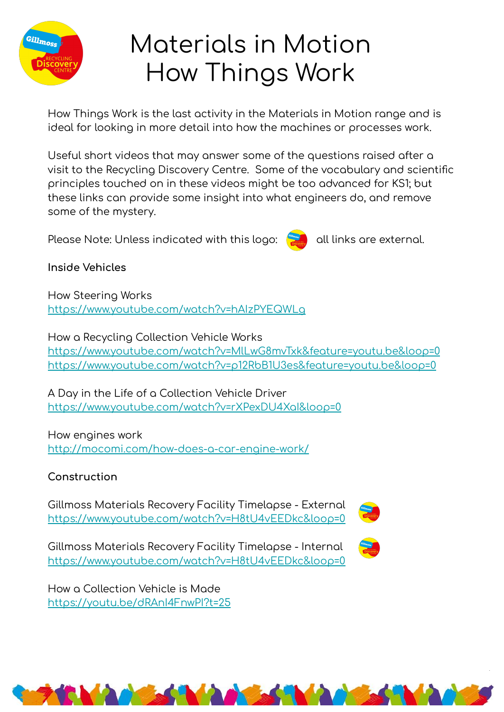

# Materials in Motion How Things Work

How Things Work is the last activity in the Materials in Motion range and is ideal for looking in more detail into how the machines or processes work.

Useful short videos that may answer some of the questions raised after a visit to the Recycling Discovery Centre. Some of the vocabulary and scientific principles touched on in these videos might be too advanced for KS1; but these links can provide some insight into what engineers do, and remove some of the mystery.

Please Note: Unless indicated with this logo:

all links are external.

**Inside Vehicles** 

How Steering Works https://www.youtube.com/watch?v=hAIzPYEQWLq

How a Recycling Collection Vehicle Works https://www.youtube.com/watch?v=MlLwG8mvTxk&feature=youtu.be&loop=0 https://www.voutube.com/watch?v=p12RbB1U3es&feature=voutu.be&loop=0

A Day in the Life of a Collection Vehicle Driver https://www.youtube.com/watch?v=rXPexDU4Xal&loop=0

How engines work http://mocomi.com/how-does-a-car-engine-work/

## Construction

Gillmoss Materials Recovery Facility Timelapse - External https://www.youtube.com/watch?v=H8tU4vEEDkc&loop=0



Gillmoss Materials Recovery Facility Timelapse - Internal https://www.youtube.com/watch?v=H8tU4vEEDkc&loop=0

How a Collection Vehicle is Made https://youtu.be/dRAnI4FnwPl?t=25